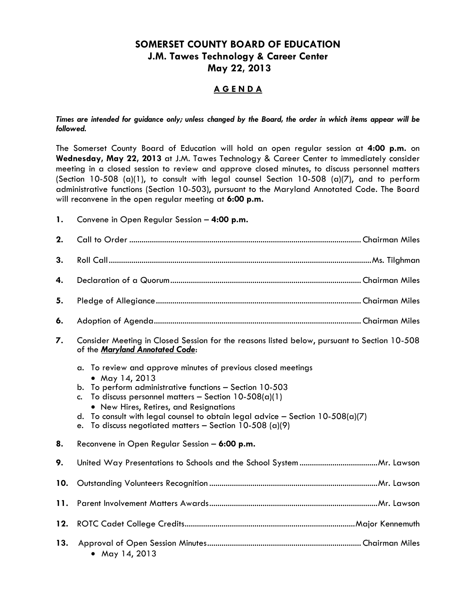# **SOMERSET COUNTY BOARD OF EDUCATION J.M. Tawes Technology & Career Center May 22, 2013**

## **A G E N D A**

#### *Times are intended for guidance only; unless changed by the Board, the order in which items appear will be followed.*

The Somerset County Board of Education will hold an open regular session at **4:00 p.m.** on **Wednesday, May 22, 2013** at J.M. Tawes Technology & Career Center to immediately consider meeting in a closed session to review and approve closed minutes, to discuss personnel matters (Section 10-508 (a)(1), to consult with legal counsel Section 10-508 (a)(7), and to perform administrative functions (Section 10-503), pursuant to the Maryland Annotated Code. The Board will reconvene in the open regular meeting at **6:00 p.m.** 

**1.** Convene in Open Regular Session – **4:00 p.m.**

| 2.  |                                                                                                                                                                                                                                                                                                                                                                                                                           |  |  |  |
|-----|---------------------------------------------------------------------------------------------------------------------------------------------------------------------------------------------------------------------------------------------------------------------------------------------------------------------------------------------------------------------------------------------------------------------------|--|--|--|
| 3.  |                                                                                                                                                                                                                                                                                                                                                                                                                           |  |  |  |
| 4.  |                                                                                                                                                                                                                                                                                                                                                                                                                           |  |  |  |
| 5.  |                                                                                                                                                                                                                                                                                                                                                                                                                           |  |  |  |
| 6.  |                                                                                                                                                                                                                                                                                                                                                                                                                           |  |  |  |
| 7.  | Consider Meeting in Closed Session for the reasons listed below, pursuant to Section 10-508<br>of the Maryland Annotated Code:                                                                                                                                                                                                                                                                                            |  |  |  |
|     | To review and approve minutes of previous closed meetings<br>a.<br>• May 14, 2013<br>To perform administrative functions - Section 10-503<br>b.<br>To discuss personnel matters - Section $10-508(a)(1)$<br>$C_{\bullet}$<br>• New Hires, Retires, and Resignations<br>To consult with legal counsel to obtain legal advice - Section $10-508(a)(7)$<br>d.<br>To discuss negotiated matters - Section 10-508 (a)(9)<br>e. |  |  |  |
| 8.  | Reconvene in Open Regular Session - 6:00 p.m.                                                                                                                                                                                                                                                                                                                                                                             |  |  |  |
| 9.  |                                                                                                                                                                                                                                                                                                                                                                                                                           |  |  |  |
| 10. |                                                                                                                                                                                                                                                                                                                                                                                                                           |  |  |  |
| 11. |                                                                                                                                                                                                                                                                                                                                                                                                                           |  |  |  |
| 12. |                                                                                                                                                                                                                                                                                                                                                                                                                           |  |  |  |
| 13. | • May 14, 2013                                                                                                                                                                                                                                                                                                                                                                                                            |  |  |  |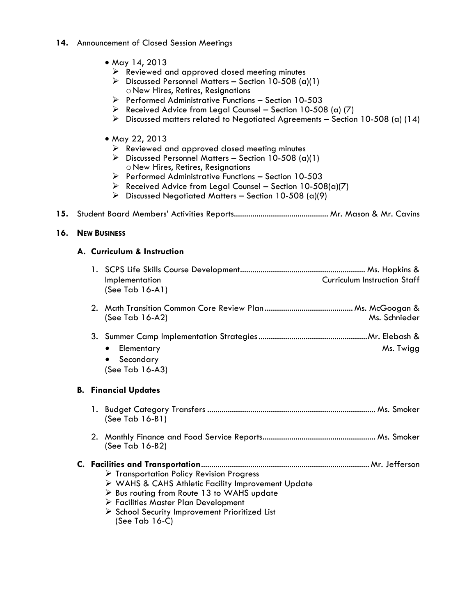#### **14.** Announcement of Closed Session Meetings

- May 14, 2013
	- $\triangleright$  Reviewed and approved closed meeting minutes
	- $\triangleright$  Discussed Personnel Matters Section 10-508 (a)(1) oNew Hires, Retires, Resignations
	- $\triangleright$  Performed Administrative Functions Section 10-503
	- $\triangleright$  Received Advice from Legal Counsel Section 10-508 (a) (7)
	- $\triangleright$  Discussed matters related to Negotiated Agreements Section 10-508 (a) (14)
- May 22, 2013
	- $\triangleright$  Reviewed and approved closed meeting minutes
	- $\triangleright$  Discussed Personnel Matters Section 10-508 (a)(1) oNew Hires, Retires, Resignations
	- $\triangleright$  Performed Administrative Functions Section 10-503
	- Received Advice from Legal Counsel Section 10-508(a)(7)
	- $\triangleright$  Discussed Negotiated Matters Section 10-508 (a)(9)
- **15.** Student Board Members' Activities Reports.............................................. Mr. Mason & Mr. Cavins

### **16. NEW BUSINESS**

### **A. Curriculum & Instruction**

|                             | <b>Curriculum Instruction Staff</b><br>Implementation<br>(See Tab $16-A1$ )                                                                                                                                                                                                                            |  |  |
|-----------------------------|--------------------------------------------------------------------------------------------------------------------------------------------------------------------------------------------------------------------------------------------------------------------------------------------------------|--|--|
|                             | Ms. Schnieder<br>(See Tab 16-A2)                                                                                                                                                                                                                                                                       |  |  |
|                             | Elementary<br>Ms. Twigg<br>Secondary<br>$\bullet$<br>(See Tab 16-A3)                                                                                                                                                                                                                                   |  |  |
| <b>B.</b> Financial Updates |                                                                                                                                                                                                                                                                                                        |  |  |
|                             | (See Tab 16-B1)                                                                                                                                                                                                                                                                                        |  |  |
|                             | (See Tab 16-B2)                                                                                                                                                                                                                                                                                        |  |  |
|                             | $\triangleright$ Transportation Policy Revision Progress<br>> WAHS & CAHS Athletic Facility Improvement Update<br>$\triangleright$ Bus routing from Route 13 to WAHS update<br>> Facilities Master Plan Development<br>$\triangleright$ School Security Improvement Prioritized List<br>(See Tab 16-C) |  |  |